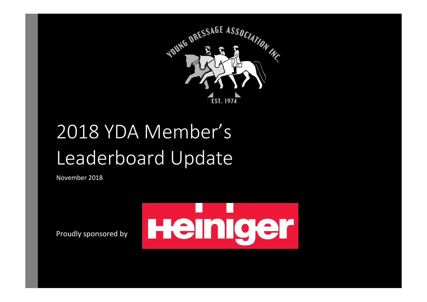

# 2018 YDA Member's Leaderboard Update

November 2018



Proudly sponsored by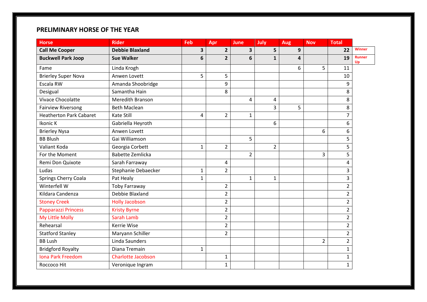# **PRELIMINARY HORSE OF THE YEAR**

| <b>Horse</b>                   | <b>Rider</b>              | Feb          | Apr            | <b>June</b>    | July           | <b>Aug</b>              | <b>Nov</b>     | <b>Total</b>   |                     |
|--------------------------------|---------------------------|--------------|----------------|----------------|----------------|-------------------------|----------------|----------------|---------------------|
| <b>Call Me Cooper</b>          | <b>Debbie Blaxland</b>    | 3            | $\overline{2}$ | 3              | 5              | 9                       |                | 22             | <b>Winner</b>       |
| <b>Buckwell Park Joop</b>      | <b>Sue Walker</b>         | 6            | $\overline{2}$ | 6              | $\mathbf{1}$   | $\overline{\mathbf{4}}$ |                | 19             | <b>Runner</b><br>Up |
| Fame                           | Linda Krogh               |              |                |                |                | 6                       | 5              | 11             |                     |
| <b>Brierley Super Nova</b>     | Anwen Lovett              | 5            | 5              |                |                |                         |                | 10             |                     |
| Escala RW                      | Amanda Shoobridge         |              | 9              |                |                |                         |                | 9              |                     |
| Desigual                       | Samantha Hain             |              | 8              |                |                |                         |                | 8              |                     |
| Vivace Chocolatte              | Meredith Branson          |              |                | 4              | 4              |                         |                | 8              |                     |
| <b>Fairview Riversong</b>      | <b>Beth Maclean</b>       |              |                |                | 3              | 5                       |                | 8              |                     |
| <b>Heatherton Park Cabaret</b> | <b>Kate Still</b>         | 4            | $\overline{2}$ | $\mathbf{1}$   |                |                         |                | $\overline{7}$ |                     |
| Ikonic K                       | Gabriella Heyroth         |              |                |                | 6              |                         |                | 6              |                     |
| <b>Brierley Nysa</b>           | Anwen Lovett              |              |                |                |                |                         | 6              | 6              |                     |
| <b>BB Blush</b>                | Gai Williamson            |              |                | 5              |                |                         |                | 5              |                     |
| Valiant Koda                   | Georgia Corbett           | $\mathbf{1}$ | $\overline{2}$ |                | $\overline{2}$ |                         |                | 5              |                     |
| For the Moment                 | <b>Babette Zemlicka</b>   |              |                | $\overline{2}$ |                |                         | 3              | 5              |                     |
| Remi Don Quixote               | Sarah Farraway            |              | 4              |                |                |                         |                | 4              |                     |
| Ludas                          | Stephanie Debaecker       | $\mathbf{1}$ | $\overline{2}$ |                |                |                         |                | 3              |                     |
| <b>Springs Cherry Coala</b>    | Pat Healy                 | $\mathbf{1}$ |                | $\mathbf{1}$   | $\mathbf 1$    |                         |                | 3              |                     |
| Winterfell W                   | <b>Toby Farraway</b>      |              | $\overline{2}$ |                |                |                         |                | $\overline{2}$ |                     |
| Kildara Candenza               | Debbie Blaxland           |              | $\overline{2}$ |                |                |                         |                | $\overline{2}$ |                     |
| <b>Stoney Creek</b>            | <b>Holly Jacobson</b>     |              | $\overline{2}$ |                |                |                         |                | $\overline{2}$ |                     |
| Papparazzi Princess            | <b>Kristy Byrne</b>       |              | $\overline{2}$ |                |                |                         |                | $\overline{2}$ |                     |
| My Little Molly                | Sarah Lamb                |              | $\overline{2}$ |                |                |                         |                | $\overline{2}$ |                     |
| Rehearsal                      | Kerrie Wise               |              | $\overline{2}$ |                |                |                         |                | $\overline{2}$ |                     |
| <b>Statford Stanley</b>        | Maryann Schiller          |              | $\overline{2}$ |                |                |                         |                | $\overline{2}$ |                     |
| <b>BB Lush</b>                 | Linda Saunders            |              |                |                |                |                         | $\overline{2}$ | $\overline{2}$ |                     |
| <b>Bridgford Royalty</b>       | Diana Tremain             | $\mathbf{1}$ |                |                |                |                         |                | $\mathbf{1}$   |                     |
| <b>Iona Park Freedom</b>       | <b>Charlotte Jacobson</b> |              | 1              |                |                |                         |                | 1              |                     |
| Roccoco Hit                    | Veronique Ingram          |              | $\mathbf{1}$   |                |                |                         |                | $\mathbf{1}$   |                     |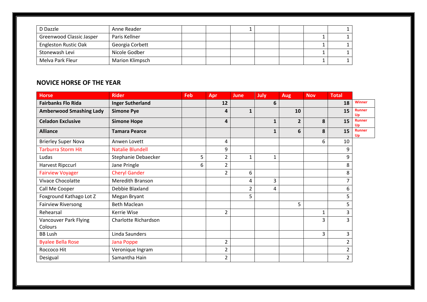| D Dazzle                    | Anne Reader            |  |  |  |  |
|-----------------------------|------------------------|--|--|--|--|
| Greenwood Classic Jasper    | Paris Kellner          |  |  |  |  |
| <b>Engleston Rustic Oak</b> | Georgia Corbett        |  |  |  |  |
| Stonewash Levi              | Nicole Godber          |  |  |  |  |
| Melva Park Fleur            | <b>Marion Klimpsch</b> |  |  |  |  |

# **NOVICE HORSE OF THE YEAR**

| <b>Horse</b>                     | <b>Rider</b>            | <b>Feb</b> | Apr            | <b>June</b>  | <b>July</b>  | <b>Aug</b>     | <b>Nov</b> | <b>Total</b> |                     |
|----------------------------------|-------------------------|------------|----------------|--------------|--------------|----------------|------------|--------------|---------------------|
| <b>Fairbanks Flo Rida</b>        | <b>Inger Sutherland</b> |            | 12             |              | 6            |                |            | 18           | <b>Winner</b>       |
| <b>Amberwood Smashing Lady</b>   | <b>Simone Pye</b>       |            | 4              | 1            |              | 10             |            | 15           | <b>Runner</b><br>Up |
| <b>Celadon Exclusive</b>         | <b>Simone Hope</b>      |            | 4              |              | 1            | $\overline{2}$ | 8          | 15           | <b>Runner</b><br>Up |
| <b>Alliance</b>                  | <b>Tamara Pearce</b>    |            |                |              | 1            | 6              | 8          | 15           | <b>Runner</b><br>Up |
| <b>Brierley Super Nova</b>       | Anwen Lovett            |            | 4              |              |              |                | 6          | 10           |                     |
| <b>Tarburra Storm Hit</b>        | <b>Natalie Blundell</b> |            | 9              |              |              |                |            | 9            |                     |
| Ludas                            | Stephanie Debaecker     | 5          | $\overline{2}$ | $\mathbf{1}$ | $\mathbf{1}$ |                |            | 9            |                     |
| Harvest Ripccurl                 | Jane Pringle            | 6          | $\overline{2}$ |              |              |                |            | 8            |                     |
| <b>Fairview Voyager</b>          | <b>Cheryl Gander</b>    |            | $\overline{2}$ | 6            |              |                |            | 8            |                     |
| Vivace Chocolatte                | Meredith Branson        |            |                | 4            | 3            |                |            |              |                     |
| Call Me Cooper                   | Debbie Blaxland         |            |                | 2            | 4            |                |            | 6            |                     |
| Foxground Kathago Lot Z          | Megan Bryant            |            |                | 5            |              |                |            | 5            |                     |
| <b>Fairview Riversong</b>        | <b>Beth Maclean</b>     |            |                |              |              | 5              |            | 5            |                     |
| Rehearsal                        | Kerrie Wise             |            | $\overline{2}$ |              |              |                | 1          | 3            |                     |
| Vancouver Park Flying<br>Colours | Charlotte Richardson    |            |                |              |              |                | 3          | 3            |                     |
| <b>BB Lush</b>                   | Linda Saunders          |            |                |              |              |                | 3          | 3            |                     |
| <b>Byalee Bella Rose</b>         | Jana Poppe              |            | 2              |              |              |                |            | 2            |                     |
| Roccoco Hit                      | Veronique Ingram        |            | $\overline{2}$ |              |              |                |            | 2            |                     |
| Desigual                         | Samantha Hain           |            | $\overline{2}$ |              |              |                |            | 2            |                     |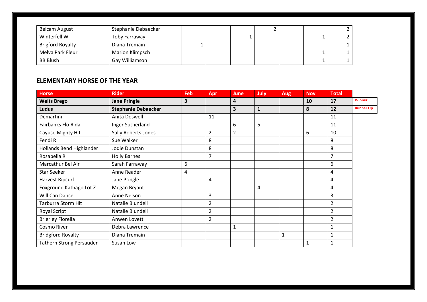| <b>Belcam August</b>    | Stephanie Debaecker    |  |  |  |  |
|-------------------------|------------------------|--|--|--|--|
| Winterfell W            | Toby Farraway          |  |  |  |  |
| <b>Brigford Royalty</b> | Diana Tremain          |  |  |  |  |
| Melva Park Fleur        | <b>Marion Klimpsch</b> |  |  |  |  |
| <b>BB Blush</b>         | Gay Williamson         |  |  |  |  |

### **ELEMENTARY HORSE OF THE YEAR**

| <b>Horse</b>                    | <b>Rider</b>               | Feb                     | Apr            | <b>June</b>    | <b>July</b>  | <b>Aug</b> | <b>Nov</b>   | <b>Total</b>   |                  |
|---------------------------------|----------------------------|-------------------------|----------------|----------------|--------------|------------|--------------|----------------|------------------|
| <b>Welts Brego</b>              | <b>Jane Pringle</b>        | $\overline{\mathbf{3}}$ |                | 4              |              |            | 10           | 17             | <b>Winner</b>    |
| <b>Ludus</b>                    | <b>Stephanie Debaecker</b> |                         |                | 3              | $\mathbf{1}$ |            | 8            | 12             | <b>Runner Up</b> |
| Demartini                       | Anita Doswell              |                         | 11             |                |              |            |              | 11             |                  |
| Fairbanks Flo Rida              | Inger Sutherland           |                         |                | 6              | 5            |            |              | 11             |                  |
| Cayuse Mighty Hit               | Sally Roberts-Jones        |                         | $\overline{2}$ | $\overline{2}$ |              |            | 6            | 10             |                  |
| Fendi R                         | Sue Walker                 |                         | 8              |                |              |            |              | 8              |                  |
| Hollands Bend Highlander        | Jodie Dunstan              |                         | 8              |                |              |            |              | 8              |                  |
| Rosabella R                     | <b>Holly Barnes</b>        |                         | $\overline{7}$ |                |              |            |              | $\overline{7}$ |                  |
| Marcathur Bel Air               | Sarah Farraway             | 6                       |                |                |              |            |              | 6              |                  |
| <b>Star Seeker</b>              | Anne Reader                | 4                       |                |                |              |            |              | 4              |                  |
| Harvest Ripcurl                 | Jane Pringle               |                         | 4              |                |              |            |              | 4              |                  |
| Foxground Kathago Lot Z         | Megan Bryant               |                         |                |                | 4            |            |              | 4              |                  |
| Will Can Dance                  | Anne Nelson                |                         | 3              |                |              |            |              | 3              |                  |
| Tarburra Storm Hit              | Natalie Blundell           |                         | $\overline{2}$ |                |              |            |              | $\overline{2}$ |                  |
| Royal Script                    | Natalie Blundell           |                         | $\overline{2}$ |                |              |            |              | $\overline{2}$ |                  |
| <b>Brierley Fiorella</b>        | Anwen Lovett               |                         | 2              |                |              |            |              | $\overline{2}$ |                  |
| Cosmo River                     | Debra Lawrence             |                         |                | 1              |              |            |              | $\mathbf{1}$   |                  |
| <b>Bridgford Royalty</b>        | Diana Tremain              |                         |                |                |              | 1          |              | $\mathbf{1}$   |                  |
| <b>Tathern Strong Persauder</b> | Susan Low                  |                         |                |                |              |            | $\mathbf{1}$ | $\mathbf{1}$   |                  |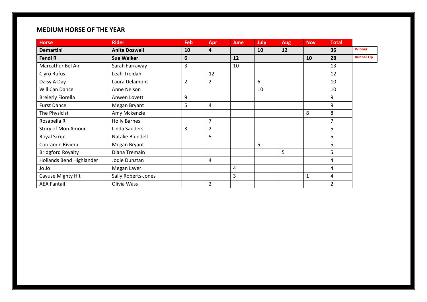# **MEDIUM HORSE OF THE YEAR**

| <b>Horse</b>             | <b>Rider</b>         | Feb            | Apr            | June | July | <b>Aug</b> | <b>Nov</b> | Total          |                  |
|--------------------------|----------------------|----------------|----------------|------|------|------------|------------|----------------|------------------|
| <b>Demartini</b>         | <b>Anita Doswell</b> | 10             | 4              |      | 10   | 12         |            | 36             | <b>Winner</b>    |
| Fendi R                  | <b>Sue Walker</b>    | 6              |                | 12   |      |            | 10         | 28             | <b>Runner Up</b> |
| Marcathur Bel Air        | Sarah Farraway       | 3              |                | 10   |      |            |            | 13             |                  |
| Clyro Rufus              | Leah Troldahl        |                | 12             |      |      |            |            | 12             |                  |
| Daisy A Day              | Laura Delamont       | $\overline{2}$ | $\overline{2}$ |      | 6    |            |            | 10             |                  |
| Will Can Dance           | Anne Nelson          |                |                |      | 10   |            |            | 10             |                  |
| <b>Breierly Fiorella</b> | Anwen Lovett         | 9              |                |      |      |            |            | 9              |                  |
| <b>Furst Dance</b>       | Megan Bryant         | 5              | 4              |      |      |            |            | 9              |                  |
| The Physicist            | Amy Mckenzie         |                |                |      |      |            | 8          | 8              |                  |
| Rosabella R              | <b>Holly Barnes</b>  |                | $\overline{7}$ |      |      |            |            | $\overline{7}$ |                  |
| Story of Mon Amour       | Linda Sauders        | 3              | $\overline{2}$ |      |      |            |            | 5              |                  |
| Royal Script             | Natalie Blundell     |                | 5              |      |      |            |            | 5              |                  |
| Cooramin Riviera         | Megan Bryant         |                |                |      | 5    |            |            | 5              |                  |
| <b>Bridgford Royalty</b> | Diana Tremain        |                |                |      |      | 5          |            | 5              |                  |
| Hollands Bend Highlander | Jodie Dunstan        |                | 4              |      |      |            |            | 4              |                  |
| Jo Jo                    | Megan Laver          |                |                | 4    |      |            |            | 4              |                  |
| Cayuse Mighty Hit        | Sally Roberts-Jones  |                |                | 3    |      |            | 1          | 4              |                  |
| <b>AEA Fantail</b>       | Olivia Wass          |                | $\overline{2}$ |      |      |            |            | $\overline{2}$ |                  |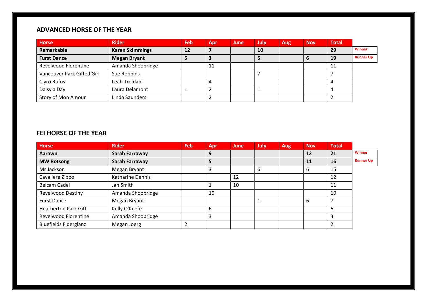# **ADVANCED HORSE OF THE YEAR**

| <b>Horse</b>                | <b>Rider</b>           | <b>Feb</b> | Apr | June | July | Aug | <b>Nov</b> | <b>Total</b> |                  |
|-----------------------------|------------------------|------------|-----|------|------|-----|------------|--------------|------------------|
| Remarkable                  | <b>Karen Skimmings</b> | 12         |     |      | 10   |     |            | 29           | <b>Winner</b>    |
| <b>Furst Dance</b>          | <b>Megan Bryant</b>    |            |     |      |      |     |            | 19           | <b>Runner Up</b> |
| <b>Revelwood Florentine</b> | Amanda Shoobridge      |            | -11 |      |      |     |            |              |                  |
| Vancouver Park Gifted Girl  | Sue Robbins            |            |     |      |      |     |            |              |                  |
| Clyro Rufus                 | Leah Troldahl          |            |     |      |      |     |            |              |                  |
| Daisy a Day                 | Laura Delamont         |            |     |      |      |     |            |              |                  |
| Story of Mon Amour          | Linda Saunders         |            |     |      |      |     |            |              |                  |

#### **FEI HORSE OF THE YEAR**

| <b>Horse</b>                 | <b>Rider</b>      | <b>Feb</b> | <b>Apr</b> | June | July | Aug | <b>Nov</b> | <b>Total</b>   |                  |
|------------------------------|-------------------|------------|------------|------|------|-----|------------|----------------|------------------|
| Aarawn                       | Sarah Farraway    |            | 9          |      |      |     | 12         | 21             | <b>Winner</b>    |
| <b>MW Rotsong</b>            | Sarah Farraway    |            | 5          |      |      |     | 11         | 16             | <b>Runner Up</b> |
| Mr Jackson                   | Megan Bryant      |            | 3          |      | 6    |     | b          | 15             |                  |
| Cavaliere Zippo              | Katharine Dennis  |            |            | 12   |      |     |            | 12             |                  |
| <b>Belcam Cadel</b>          | Jan Smith         |            |            | 10   |      |     |            | 11             |                  |
| <b>Revelwood Destiny</b>     | Amanda Shoobridge |            | 10         |      |      |     |            | 10             |                  |
| <b>Furst Dance</b>           | Megan Bryant      |            |            |      |      |     | b          |                |                  |
| <b>Heatherton Park Gift</b>  | Kelly O'Keefe     |            | 6          |      |      |     |            | 6              |                  |
| <b>Revelwood Florentine</b>  | Amanda Shoobridge |            | 3          |      |      |     |            | 3              |                  |
| <b>Bluefields Fiderglanz</b> | Megan Joerg       |            |            |      |      |     |            | $\overline{2}$ |                  |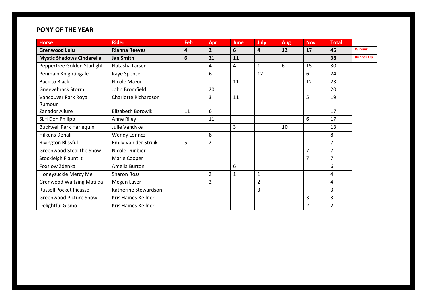# **PONY OF THE YEAR**

| <b>Horse</b>                     | <b>Rider</b>         | Feb | Apr            | June | July                    | <b>Aug</b> | <b>Nov</b>     | <b>Total</b>   |                  |
|----------------------------------|----------------------|-----|----------------|------|-------------------------|------------|----------------|----------------|------------------|
| <b>Grenwood Lulu</b>             | <b>Rianna Reeves</b> | 4   | $\overline{2}$ | 6    | $\overline{\mathbf{4}}$ | 12         | 17             | 45             | <b>Winner</b>    |
| <b>Mystic Shadows Cinderella</b> | <b>Jan Smith</b>     | 6   | 21             | 11   |                         |            |                | 38             | <b>Runner Up</b> |
| Peppertree Golden Starlight      | Natasha Larsen       |     | 4              | 4    | $\mathbf{1}$            | 6          | 15             | 30             |                  |
| Penmain Knightingale             | Kaye Spence          |     | 6              |      | 12                      |            | 6              | 24             |                  |
| <b>Back to Black</b>             | Nicole Mazur         |     |                | 11   |                         |            | 12             | 23             |                  |
| <b>Gneevebrack Storm</b>         | John Bromfield       |     | 20             |      |                         |            |                | 20             |                  |
| Vancouver Park Royal<br>Rumour   | Charlotte Richardson |     | 3              | 11   |                         |            | 5              | 19             |                  |
| Zanador Allure                   | Elizabeth Borowik    |     | 6              |      |                         |            |                | 17             |                  |
|                                  |                      | 11  |                |      |                         |            |                |                |                  |
| SLH Don Philipp                  | Anne Riley           |     | 11             |      |                         |            | 6              | 17             |                  |
| <b>Buckwell Park Harlequin</b>   | Julie Vandyke        |     |                | 3    |                         | 10         |                | 13             |                  |
| Hilkens Denali                   | <b>Wendy Lorincz</b> |     | 8              |      |                         |            |                | 8              |                  |
| Rivington Blissful               | Emily Van der Struik | 5   | $\overline{2}$ |      |                         |            |                | $\overline{7}$ |                  |
| Greenwood Steal the Show         | Nicole Dunbier       |     |                |      |                         |            | 7              | $\overline{7}$ |                  |
| Stockleigh Flaunt it             | Marie Cooper         |     |                |      |                         |            | 7              | $\overline{7}$ |                  |
| Foxslow Zdenka                   | Amelia Burton        |     |                | 6    |                         |            |                | 6              |                  |
| Honeysuckle Mercy Me             | <b>Sharon Ross</b>   |     | $\overline{2}$ | 1    | 1                       |            |                | 4              |                  |
| <b>Grenwood Waltzing Matilda</b> | Megan Laver          |     | $\overline{2}$ |      | $\overline{2}$          |            |                | 4              |                  |
| <b>Russell Pocket Picasso</b>    | Katherine Stewardson |     |                |      | 3                       |            |                | 3              |                  |
| <b>Greenwood Picture Show</b>    | Kris Haines-Kellner  |     |                |      |                         |            | 3              | 3              |                  |
| Delightful Gismo                 | Kris Haines-Kellner  |     |                |      |                         |            | $\overline{2}$ | $\overline{2}$ |                  |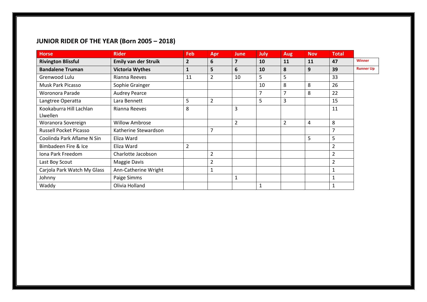# **JUNIOR RIDER OF THE YEAR (Born 2005 – 2018)**

| <b>Horse</b>                  | <b>Rider</b>                | Feb            | Apr            | <b>June</b>    | July | <b>Aug</b>     | <b>Nov</b> | <b>Total</b>   |                  |
|-------------------------------|-----------------------------|----------------|----------------|----------------|------|----------------|------------|----------------|------------------|
| <b>Rivington Blissful</b>     | <b>Emily van der Struik</b> | $\overline{2}$ | 6              | $\overline{7}$ | 10   | 11             | 11         | 47             | <b>Winner</b>    |
| <b>Bandalene Truman</b>       | <b>Victoria Wythes</b>      | 1              | 5              | 6              | 10   | 8              | 9          | 39             | <b>Runner Up</b> |
| Grenwood Lulu                 | Rianna Reeves               | 11             | $\overline{2}$ | 10             | 5    | 5              |            | 33             |                  |
| Musk Park Picasso             | Sophie Grainger             |                |                |                | 10   | 8              | 8          | 26             |                  |
| Woronora Parade               | <b>Audrey Pearce</b>        |                |                |                | 7    | 7              | 8          | 22             |                  |
| Langtree Operatta             | Lara Bennett                | 5              | $\overline{2}$ |                | 5    | 3              |            | 15             |                  |
| Kookaburra Hill Lachlan       | Rianna Reeves               | 8              |                | 3              |      |                |            | 11             |                  |
| Llwellen                      |                             |                |                |                |      |                |            |                |                  |
| Woranora Sovereign            | <b>Willow Ambrose</b>       |                |                | $\overline{2}$ |      | $\overline{2}$ | 4          | 8              |                  |
| <b>Russell Pocket Picasso</b> | Katherine Stewardson        |                | 7              |                |      |                |            | $\overline{7}$ |                  |
| Coolinda Park Aflame N Sin    | Eliza Ward                  |                |                |                |      |                | 5          | 5              |                  |
| Bimbadeen Fire & Ice          | Eliza Ward                  | $\overline{2}$ |                |                |      |                |            | 2              |                  |
| Iona Park Freedom             | Charlotte Jacobson          |                | $\overline{2}$ |                |      |                |            | $\overline{2}$ |                  |
| Last Boy Scout                | Maggie Davis                |                | $\overline{2}$ |                |      |                |            | 2              |                  |
| Carjola Park Watch My Glass   | Ann-Catherine Wright        |                | $\mathbf{1}$   |                |      |                |            | 1              |                  |
| Johnny                        | Paige Simms                 |                |                |                |      |                |            |                |                  |
| Waddy                         | Olivia Holland              |                |                |                |      |                |            |                |                  |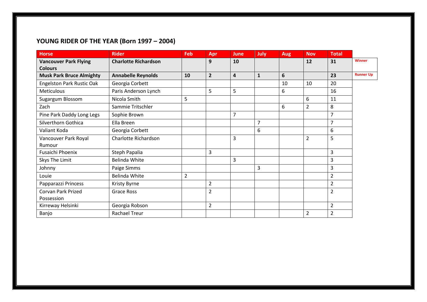# **YOUNG RIDER OF THE YEAR (Born 1997 – 2004)**

| <b>Horse</b>                     | <b>Rider</b>                | <b>Feb</b>     | Apr            | <b>June</b>             | <b>July</b>    | <b>Aug</b> | <b>Nov</b>     | <b>Total</b>   |                  |
|----------------------------------|-----------------------------|----------------|----------------|-------------------------|----------------|------------|----------------|----------------|------------------|
| <b>Vancouver Park Flying</b>     | <b>Charlotte Richardson</b> |                | 9              | 10                      |                |            | 12             | 31             | <b>Winner</b>    |
| <b>Colours</b>                   |                             |                |                |                         |                |            |                |                |                  |
| <b>Musk Park Bruce Almighty</b>  | <b>Annabelle Reynolds</b>   | 10             | $\overline{2}$ | $\overline{\mathbf{4}}$ | $\mathbf{1}$   | 6          |                | 23             | <b>Runner Up</b> |
| <b>Engelston Park Rustic Oak</b> | Georgia Corbett             |                |                |                         |                | 10         | 10             | 20             |                  |
| <b>Meticulous</b>                | Paris Anderson Lynch        |                | 5              | 5                       |                | 6          |                | 16             |                  |
| Sugargum Blossom                 | Nicola Smith                | 5              |                |                         |                |            | 6              | 11             |                  |
| Zach                             | Sammie Tritschler           |                |                |                         |                | 6          | $\overline{2}$ | 8              |                  |
| Pine Park Daddy Long Legs        | Sophie Brown                |                |                | 7                       |                |            |                | 7              |                  |
| Silverthorn Gothica              | Ella Breen                  |                |                |                         | $\overline{7}$ |            |                | 7              |                  |
| Valiant Koda                     | Georgia Corbett             |                |                |                         | 6              |            |                | 6              |                  |
| Vancouver Park Royal             | Charlotte Richardson        |                |                | 3                       |                |            | $\overline{2}$ | 5              |                  |
| Rumour                           |                             |                |                |                         |                |            |                |                |                  |
| Fusaichi Phoenix                 | Steph Papalia               |                | 3              |                         |                |            |                | 3              |                  |
| Skys The Limit                   | Belinda White               |                |                | 3                       |                |            |                | 3              |                  |
| Johnny                           | Paige Simms                 |                |                |                         | 3              |            |                | 3              |                  |
| Louie                            | <b>Belinda White</b>        | $\overline{2}$ |                |                         |                |            |                | $\overline{2}$ |                  |
| Papparazzi Princess              | Kristy Byrne                |                | $\overline{2}$ |                         |                |            |                | $\overline{2}$ |                  |
| Corvan Park Prized               | Grace Ross                  |                | $\overline{2}$ |                         |                |            |                | $\overline{2}$ |                  |
| Possession                       |                             |                |                |                         |                |            |                |                |                  |
| Kirreway Helsinki                | Georgia Robson              |                | $\overline{2}$ |                         |                |            |                | $\overline{2}$ |                  |
| Banjo                            | <b>Rachael Treur</b>        |                |                |                         |                |            | $\overline{2}$ | $\overline{2}$ |                  |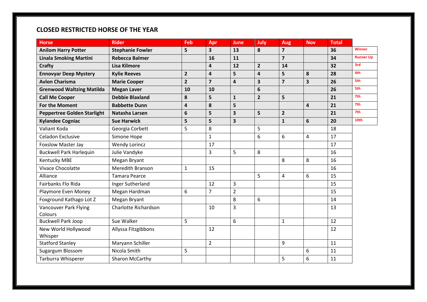# **CLOSED RESTRICTED HORSE OF THE YEAR**

| <b>Horse</b>                       | <b>Rider</b>            | Feb                     | Apr                     | <b>June</b>             | July           | <b>Aug</b>              | <b>Nov</b>              | <b>Total</b> |                  |
|------------------------------------|-------------------------|-------------------------|-------------------------|-------------------------|----------------|-------------------------|-------------------------|--------------|------------------|
| <b>Anilom Harry Potter</b>         | <b>Stephanie Fowler</b> | 5                       | 3                       | 13                      | 8              | $\overline{\mathbf{z}}$ |                         | 36           | <b>Winner</b>    |
| <b>Linala Smoking Martini</b>      | <b>Rebecca Balmer</b>   |                         | 16                      | 11                      |                | $\overline{\mathbf{z}}$ |                         | 34           | <b>Runner Up</b> |
| <b>Crafty</b>                      | <b>Lisa Kilmore</b>     |                         | $\overline{4}$          | 12                      | $\overline{2}$ | 14                      |                         | 32           | 3rd              |
| <b>Ennovyar Deep Mystery</b>       | <b>Kylie Reeves</b>     | $\overline{2}$          | 4                       | 5                       | 4              | 5                       | 8                       | 28           | 4th              |
| <b>Avlon Charisma</b>              | <b>Marie Cooper</b>     | $\overline{2}$          | $\overline{\mathbf{z}}$ | 4                       | 3              | $\overline{\mathbf{z}}$ | $\overline{\mathbf{3}}$ | 26           | 5th              |
| <b>Grenwood Waltzing Matilda</b>   | <b>Megan Laver</b>      | 10                      | 10                      |                         | 6              |                         |                         | 26           | 5th              |
| <b>Call Me Cooper</b>              | <b>Debbie Blaxland</b>  | 8                       | 5                       | $\mathbf{1}$            | $\overline{2}$ | 5                       |                         | 21           | 7th              |
| <b>For the Moment</b>              | <b>Babbette Dunn</b>    | $\overline{\mathbf{4}}$ | 8                       | 5                       |                |                         | $\overline{4}$          | 21           | 7th              |
| <b>Peppertree Golden Starlight</b> | Natasha Larsen          | 6                       | 5                       | $\overline{\mathbf{3}}$ | 5              | $\overline{2}$          |                         | 21           | 7th              |
| <b>Kylandee Cogniac</b>            | <b>Sue Harwick</b>      | 5                       | 5                       | $\overline{\mathbf{3}}$ |                | $\mathbf{1}$            | 6                       | 20           | 10th             |
| Valiant Koda                       | Georgia Corbett         | 5                       | 8                       |                         | 5              |                         |                         | 18           |                  |
| Celadon Exclusive                  | Simone Hope             |                         | $\mathbf{1}$            |                         | 6              | 6                       | $\overline{4}$          | 17           |                  |
| <b>Foxslow Master Jay</b>          | <b>Wendy Lorincz</b>    |                         | 17                      |                         |                |                         |                         | 17           |                  |
| <b>Buckwell Park Harlequin</b>     | Julie Vandyke           |                         | 3                       | 5                       | 8              |                         |                         | 16           |                  |
| <b>Kentucky MBE</b>                | Megan Bryant            |                         |                         |                         |                | 8                       | 8                       | 16           |                  |
| <b>Vivace Chocolatte</b>           | <b>Meredith Branson</b> | $\mathbf{1}$            | 15                      |                         |                |                         |                         | 16           |                  |
| Alliance                           | <b>Tamara Pearce</b>    |                         |                         |                         | 5              | 4                       | 6                       | 15           |                  |
| Fairbanks Flo Rida                 | Inger Sutherland        |                         | 12                      | 3                       |                |                         |                         | 15           |                  |
| Playmore Even Money                | Megan Hardman           | 6                       | $\overline{7}$          | $\overline{2}$          |                |                         |                         | 15           |                  |
| Foxground Kathago Lot Z            | Megan Bryant            |                         |                         | 8                       | 6              |                         |                         | 14           |                  |
| <b>Vancouver Park Flying</b>       | Charlotte Richardson    |                         | 10                      | 3                       |                |                         |                         | 13           |                  |
| Colours                            |                         |                         |                         |                         |                |                         |                         |              |                  |
| <b>Buckwell Park Joop</b>          | Sue Walker              | 5                       |                         | 6                       |                | $\mathbf{1}$            |                         | 12           |                  |
| New World Hollywood                | Allyssa Fitzgibbons     |                         | 12                      |                         |                |                         |                         | 12           |                  |
| Whisper                            |                         |                         |                         |                         |                |                         |                         |              |                  |
| <b>Statford Stanley</b>            | Maryann Schiller        |                         | $\overline{2}$          |                         |                | 9                       |                         | 11           |                  |
| Sugargum Blossom                   | Nicola Smith            | 5                       |                         |                         |                |                         | 6                       | 11           |                  |
| Tarburra Whisperer                 | Sharon McCarthy         |                         |                         |                         |                | 5                       | 6                       | 11           |                  |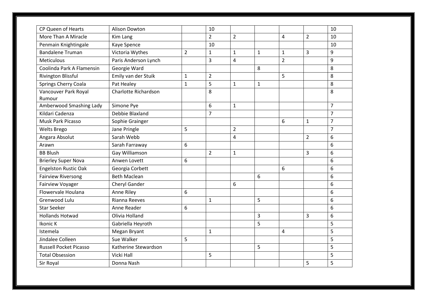| CP Queen of Hearts            | Alison Dowton        |                | 10             |                |                |                |                | 10             |
|-------------------------------|----------------------|----------------|----------------|----------------|----------------|----------------|----------------|----------------|
| More Than A Miracle           | Kim Lang             |                | $\overline{2}$ | $\overline{2}$ |                | $\overline{4}$ | $\overline{2}$ | 10             |
| Penmain Knightingale          | Kaye Spence          |                | 10             |                |                |                |                | 10             |
| <b>Bandalene Truman</b>       | Victoria Wythes      | $\overline{2}$ | $\mathbf{1}$   | $\mathbf{1}$   | $\mathbf{1}$   | $\mathbf{1}$   | 3              | 9              |
| Meticulous                    | Paris Anderson Lynch |                | 3              | $\overline{4}$ |                | $\overline{2}$ |                | 9              |
| Coolinda Park A Flamensin     | Georgie Ward         |                |                |                | 8              |                |                | 8              |
| Rivington Blissful            | Emily van der Stuik  | $\mathbf 1$    | $\overline{2}$ |                |                | 5              |                | 8              |
| Springs Cherry Coala          | Pat Healey           | $\mathbf{1}$   | 5              | $\mathbf{1}$   | 1              |                |                | 8              |
| Vancouver Park Royal          | Charlotte Richardson |                | 8              |                |                |                |                | 8              |
| Rumour                        |                      |                |                |                |                |                |                |                |
| Amberwood Smashing Lady       | Simone Pye           |                | 6              | $\mathbf{1}$   |                |                |                | $\overline{7}$ |
| Kildari Cadenza               | Debbie Blaxland      |                | $\overline{7}$ |                |                |                |                | $\overline{7}$ |
| Musk Park Picasso             | Sophie Grainger      |                |                |                |                | 6              | $\mathbf{1}$   | $\overline{7}$ |
| <b>Welts Brego</b>            | Jane Pringle         | 5              |                | $\overline{2}$ |                |                |                | $\overline{7}$ |
| Angara Absolut                | Sarah Webb           |                |                | $\overline{4}$ |                |                | $\overline{2}$ | 6              |
| Arawn                         | Sarah Farraway       | 6              |                |                |                |                |                | 6              |
| <b>BB Blush</b>               | Gay Williamson       |                | $\overline{2}$ | $\mathbf{1}$   |                |                | 3              | 6              |
| <b>Brierley Super Nova</b>    | Anwen Lovett         | 6              |                |                |                |                |                | 6              |
| <b>Engelston Rustic Oak</b>   | Georgia Corbett      |                |                |                |                | 6              |                | 6              |
| <b>Fairview Riversong</b>     | <b>Beth Maclean</b>  |                |                |                | 6              |                |                | 6              |
| Fairview Voyager              | Cheryl Gander        |                |                | 6              |                |                |                | 6              |
| Flowervale Houlana            | Anne Riley           | 6              |                |                |                |                |                | 6              |
| Grenwood Lulu                 | Rianna Reeves        |                | $\mathbf{1}$   |                | 5              |                |                | 6              |
| <b>Star Seeker</b>            | Anne Reader          | 6              |                |                |                |                |                | 6              |
| <b>Hollands Hotwad</b>        | Olivia Holland       |                |                |                | $\overline{3}$ |                | 3              | 6              |
| Ikonic K                      | Gabriella Heyroth    |                |                |                | 5              |                |                | 5              |
| Istemela                      | Megan Bryant         |                | $\mathbf{1}$   |                |                | $\overline{4}$ |                | 5              |
| Jindalee Colleen              | Sue Walker           | 5              |                |                |                |                |                | 5              |
| <b>Russell Pocket Picasso</b> | Katherine Stewardson |                |                |                | 5              |                |                | 5              |
| <b>Total Obsession</b>        | <b>Vicki Hall</b>    |                | 5              |                |                |                |                | 5              |
| Sir Royal                     | Donna Nash           |                |                |                |                |                | 5              | 5              |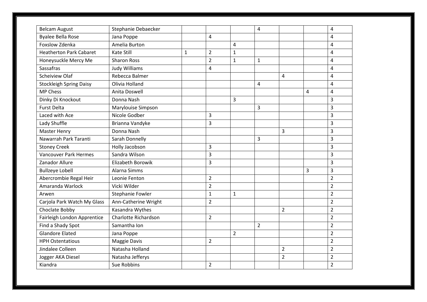| <b>Belcam August</b>           | Stephanie Debaecker  |   |                |                | $\overline{4}$ |                |   | $\overline{4}$          |
|--------------------------------|----------------------|---|----------------|----------------|----------------|----------------|---|-------------------------|
| <b>Byalee Bella Rose</b>       | Jana Poppe           |   | 4              |                |                |                |   | $\overline{4}$          |
| Foxslow Zdenka                 | Amelia Burton        |   |                | $\overline{4}$ |                |                |   | $\overline{4}$          |
| <b>Heatherton Park Cabaret</b> | <b>Kate Still</b>    | 1 | $\overline{2}$ | $\mathbf{1}$   |                |                |   | 4                       |
| Honeysuckle Mercy Me           | <b>Sharon Ross</b>   |   | $\overline{2}$ | $\mathbf{1}$   | $\mathbf{1}$   |                |   | $\overline{\mathbf{4}}$ |
| Sassafras                      | <b>Judy Williams</b> |   | 4              |                |                |                |   | 4                       |
| <b>Scheiview Olaf</b>          | Rebecca Balmer       |   |                |                |                | $\overline{4}$ |   | $\overline{4}$          |
| <b>Stockleigh Spring Daisy</b> | Olivia Holland       |   |                |                | 4              |                |   | $\overline{4}$          |
| <b>MP Chess</b>                | Anita Doswell        |   |                |                |                |                | 4 | $\overline{4}$          |
| Dinky Di Knockout              | Donna Nash           |   |                | 3              |                |                |   | 3                       |
| <b>Furst Delta</b>             | Marylouise Simpson   |   |                |                | 3              |                |   | $\overline{3}$          |
| Laced with Ace                 | Nicole Godber        |   | 3              |                |                |                |   | $\overline{3}$          |
| Lady Shuffle                   | Brianna Vandyke      |   | 3              |                |                |                |   | $\overline{3}$          |
| <b>Master Henry</b>            | Donna Nash           |   |                |                |                | 3              |   | 3                       |
| Nawarrah Park Taranti          | Sarah Donnelly       |   |                |                | 3              |                |   | 3                       |
| <b>Stoney Creek</b>            | Holly Jacobson       |   | 3              |                |                |                |   | 3                       |
| <b>Vancouver Park Hermes</b>   | Sandra Wilson        |   | 3              |                |                |                |   | $\overline{3}$          |
| Zanador Allure                 | Elizabeth Borowik    |   | 3              |                |                |                |   | $\overline{3}$          |
| <b>Bullzeye Lobell</b>         | Alarna Simms         |   |                |                |                |                | 3 | 3                       |
| Abercrombie Regal Heir         | Leonie Fenton        |   | $\overline{2}$ |                |                |                |   | $\overline{2}$          |
| Amaranda Warlock               | Vicki Wilder         |   | $\overline{2}$ |                |                |                |   | $\overline{2}$          |
| Arwen                          | Stephanie Fowler     |   | $\mathbf{1}$   | $\mathbf{1}$   |                |                |   | $\overline{2}$          |
| Carjola Park Watch My Glass    | Ann-Catherine Wright |   | $\overline{2}$ |                |                |                |   | $\overline{2}$          |
| Choclate Bobby                 | Kasandra Wythes      |   |                |                |                | $\overline{2}$ |   | $\overline{2}$          |
| Fairleigh London Apprentice    | Charlotte Richardson |   | $\overline{2}$ |                |                |                |   | $\overline{2}$          |
| Find a Shady Spot              | Samantha Ion         |   |                |                | $\overline{2}$ |                |   | $\overline{2}$          |
| <b>Glandore Elated</b>         | Jana Poppe           |   |                | $\overline{2}$ |                |                |   | $\overline{2}$          |
| <b>HPH Ostentatious</b>        | <b>Maggie Davis</b>  |   | $\overline{2}$ |                |                |                |   | $\overline{2}$          |
| Jindalee Colleen               | Natasha Holland      |   |                |                |                | $\overline{2}$ |   | $\overline{2}$          |
| Jogger AKA Diesel              | Natasha Jefferys     |   |                |                |                | $\overline{2}$ |   | $\overline{2}$          |
| Kiandra                        | Sue Robbins          |   | $\overline{2}$ |                |                |                |   | $\overline{2}$          |